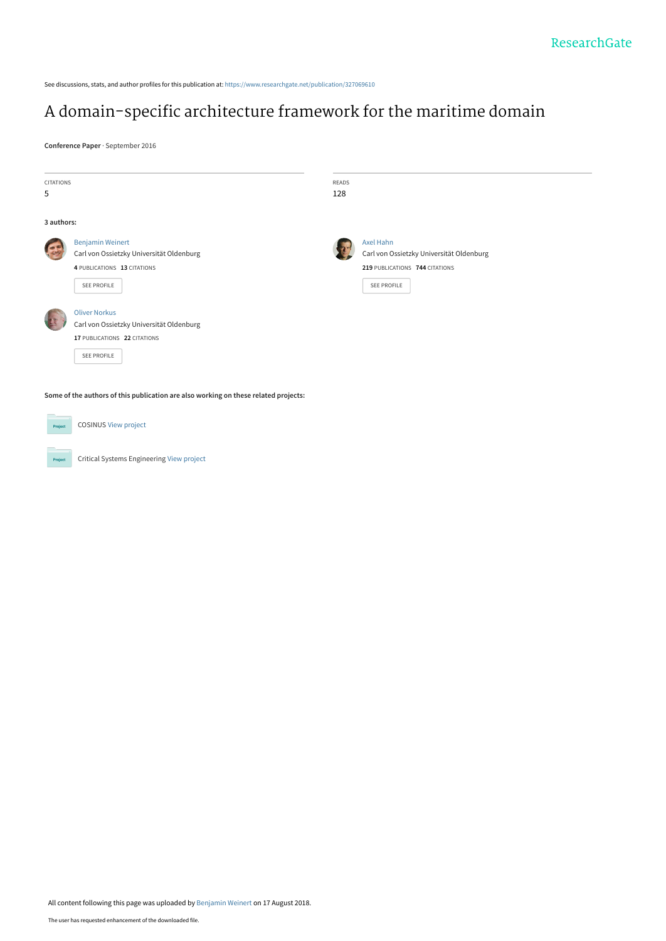See discussions, stats, and author profiles for this publication at: [https://www.researchgate.net/publication/327069610](https://www.researchgate.net/publication/327069610_A_domain-specific_architecture_framework_for_the_maritime_domain?enrichId=rgreq-bcd71850fd92c31d4df93991cd2f20a4-XXX&enrichSource=Y292ZXJQYWdlOzMyNzA2OTYxMDtBUzo2NjA1MzQxMDYwMjE4ODhAMTUzNDQ5NTAxMTE2Mw%3D%3D&el=1_x_2&_esc=publicationCoverPdf)

# [A domain-specific architecture framework for the maritime domain](https://www.researchgate.net/publication/327069610_A_domain-specific_architecture_framework_for_the_maritime_domain?enrichId=rgreq-bcd71850fd92c31d4df93991cd2f20a4-XXX&enrichSource=Y292ZXJQYWdlOzMyNzA2OTYxMDtBUzo2NjA1MzQxMDYwMjE4ODhAMTUzNDQ5NTAxMTE2Mw%3D%3D&el=1_x_3&_esc=publicationCoverPdf)

**Conference Paper** · September 2016

| <b>CITATIONS</b><br>5 |                                                                                                                   | <b>READS</b><br>128 |                                                                                                        |  |
|-----------------------|-------------------------------------------------------------------------------------------------------------------|---------------------|--------------------------------------------------------------------------------------------------------|--|
| 3 authors:            |                                                                                                                   |                     |                                                                                                        |  |
|                       | <b>Benjamin Weinert</b><br>Carl von Ossietzky Universität Oldenburg<br>4 PUBLICATIONS 13 CITATIONS<br>SEE PROFILE |                     | Axel Hahn<br>Carl von Ossietzky Universität Oldenburg<br>219 PUBLICATIONS 744 CITATIONS<br>SEE PROFILE |  |
|                       | <b>Oliver Norkus</b><br>Carl von Ossietzky Universität Oldenburg<br>17 PUBLICATIONS 22 CITATIONS<br>SEE PROFILE   |                     |                                                                                                        |  |
|                       | Some of the authors of this publication are also working on these related projects:                               |                     |                                                                                                        |  |
| Project               | <b>COSINUS View project</b>                                                                                       |                     |                                                                                                        |  |

Critical Systems Engineering [View project](https://www.researchgate.net/project/Critical-Systems-Engineering?enrichId=rgreq-bcd71850fd92c31d4df93991cd2f20a4-XXX&enrichSource=Y292ZXJQYWdlOzMyNzA2OTYxMDtBUzo2NjA1MzQxMDYwMjE4ODhAMTUzNDQ5NTAxMTE2Mw%3D%3D&el=1_x_9&_esc=publicationCoverPdf) Project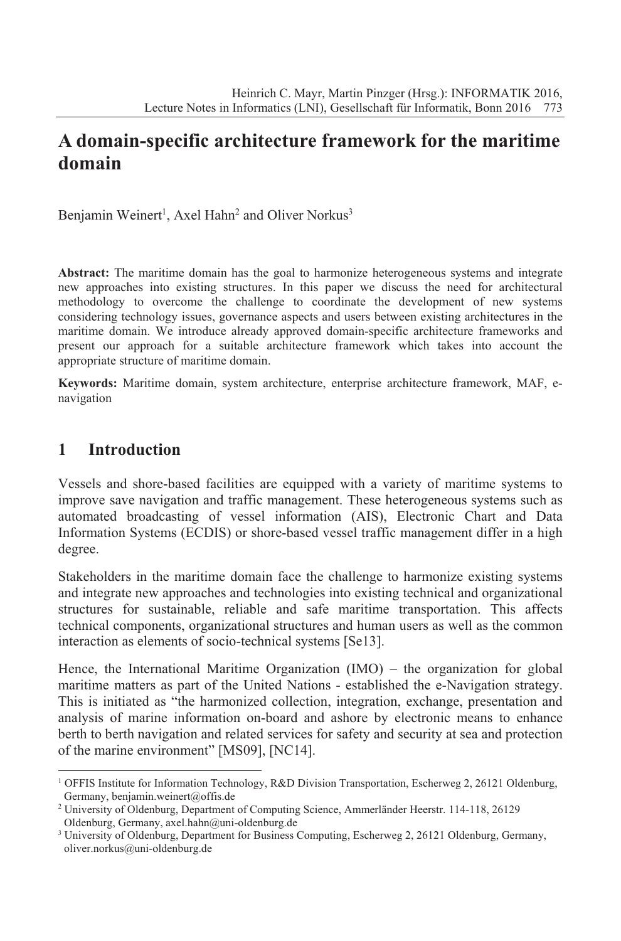## **A domain-specific architecture framework for the maritime domain**

Benjamin Weinert<sup>1</sup>, Axel Hahn<sup>2</sup> and Oliver Norkus<sup>3</sup>

**Abstract:** The maritime domain has the goal to harmonize heterogeneous systems and integrate new approaches into existing structures. In this paper we discuss the need for architectural methodology to overcome the challenge to coordinate the development of new systems considering technology issues, governance aspects and users between existing architectures in the maritime domain. We introduce already approved domain-specific architecture frameworks and present our approach for a suitable architecture framework which takes into account the appropriate structure of maritime domain.

**Keywords:** Maritime domain, system architecture, enterprise architecture framework, MAF, enavigation

## **1 Introduction**

Vessels and shore-based facilities are equipped with a variety of maritime systems to improve save navigation and traffic management. These heterogeneous systems such as automated broadcasting of vessel information (AIS), Electronic Chart and Data Information Systems (ECDIS) or shore-based vessel traffic management differ in a high degree.

Stakeholders in the maritime domain face the challenge to harmonize existing systems and integrate new approaches and technologies into existing technical and organizational structures for sustainable, reliable and safe maritime transportation. This affects technical components, organizational structures and human users as well as the common interaction as elements of socio-technical systems [Se13].

Hence, the International Maritime Organization (IMO) – the organization for global maritime matters as part of the United Nations - established the e-Navigation strategy. This is initiated as "the harmonized collection, integration, exchange, presentation and analysis of marine information on-board and ashore by electronic means to enhance berth to berth navigation and related services for safety and security at sea and protection of the marine environment" [MS09], [NC14].

<sup>1</sup> OFFIS Institute for Information Technology, R&D Division Transportation, Escherweg 2, 26121 Oldenburg, Germany, benjamin.weinert@offis.de

<sup>&</sup>lt;sup>2</sup> University of Oldenburg, Department of Computing Science, Ammerländer Heerstr. 114-118, 26129 Oldenburg, Germany, axel.hahn@uni-oldenburg.de

<sup>&</sup>lt;sup>3</sup> University of Oldenburg, Department for Business Computing, Escherweg 2, 26121 Oldenburg, Germany, oliver.norkus@uni-oldenburg.de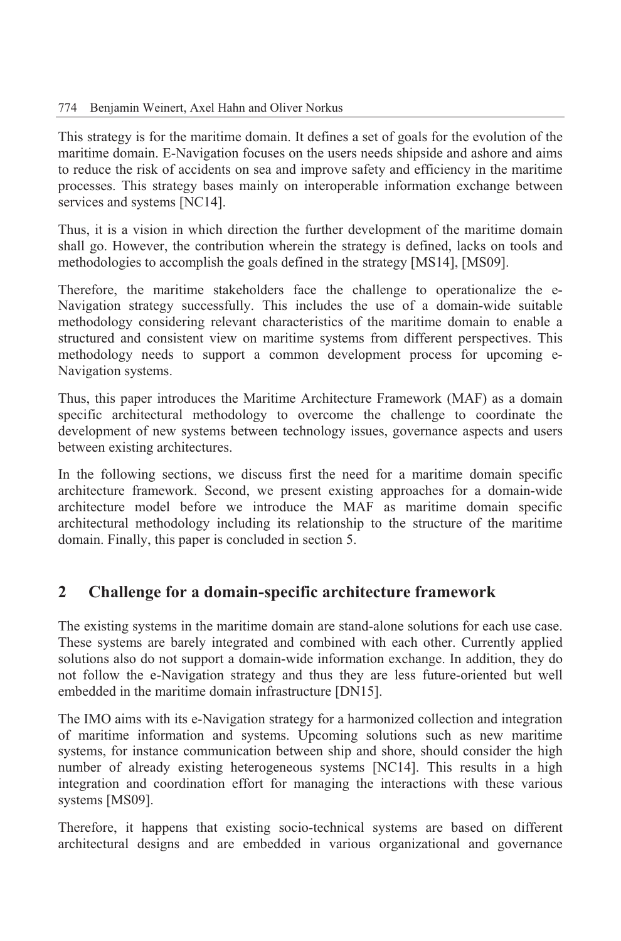This strategy is for the maritime domain. It defines a set of goals for the evolution of the maritime domain. E-Navigation focuses on the users needs shipside and ashore and aims to reduce the risk of accidents on sea and improve safety and efficiency in the maritime processes. This strategy bases mainly on interoperable information exchange between services and systems [NC14].

Thus, it is a vision in which direction the further development of the maritime domain shall go. However, the contribution wherein the strategy is defined, lacks on tools and methodologies to accomplish the goals defined in the strategy [MS14], [MS09].

Therefore, the maritime stakeholders face the challenge to operationalize the e-Navigation strategy successfully. This includes the use of a domain-wide suitable methodology considering relevant characteristics of the maritime domain to enable a structured and consistent view on maritime systems from different perspectives. This methodology needs to support a common development process for upcoming e-Navigation systems.

Thus, this paper introduces the Maritime Architecture Framework (MAF) as a domain specific architectural methodology to overcome the challenge to coordinate the development of new systems between technology issues, governance aspects and users between existing architectures.

In the following sections, we discuss first the need for a maritime domain specific architecture framework. Second, we present existing approaches for a domain-wide architecture model before we introduce the MAF as maritime domain specific architectural methodology including its relationship to the structure of the maritime domain. Finally, this paper is concluded in section 5.

## **2 Challenge for a domain-specific architecture framework**

The existing systems in the maritime domain are stand-alone solutions for each use case. These systems are barely integrated and combined with each other. Currently applied solutions also do not support a domain-wide information exchange. In addition, they do not follow the e-Navigation strategy and thus they are less future-oriented but well embedded in the maritime domain infrastructure [DN15].

The IMO aims with its e-Navigation strategy for a harmonized collection and integration of maritime information and systems. Upcoming solutions such as new maritime systems, for instance communication between ship and shore, should consider the high number of already existing heterogeneous systems [NC14]. This results in a high integration and coordination effort for managing the interactions with these various systems [MS09].

Therefore, it happens that existing socio-technical systems are based on different architectural designs and are embedded in various organizational and governance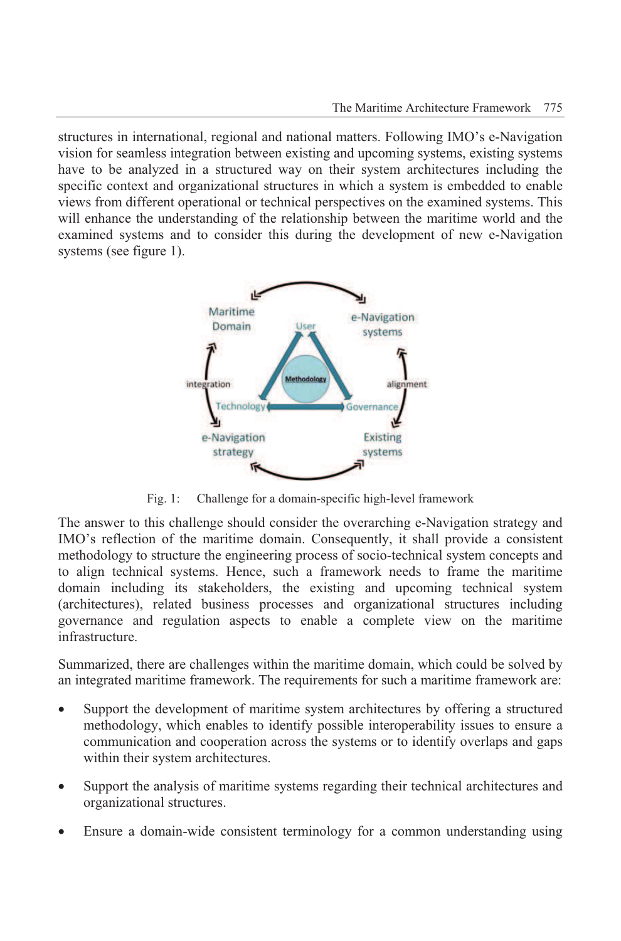structures in international, regional and national matters. Following IMO's e-Navigation vision for seamless integration between existing and upcoming systems, existing systems have to be analyzed in a structured way on their system architectures including the specific context and organizational structures in which a system is embedded to enable views from different operational or technical perspectives on the examined systems. This will enhance the understanding of the relationship between the maritime world and the examined systems and to consider this during the development of new e-Navigation systems (see figure 1).



Fig. 1: Challenge for a domain-specific high-level framework

The answer to this challenge should consider the overarching e-Navigation strategy and IMO's reflection of the maritime domain. Consequently, it shall provide a consistent methodology to structure the engineering process of socio-technical system concepts and to align technical systems. Hence, such a framework needs to frame the maritime domain including its stakeholders, the existing and upcoming technical system (architectures), related business processes and organizational structures including governance and regulation aspects to enable a complete view on the maritime infrastructure.

Summarized, there are challenges within the maritime domain, which could be solved by an integrated maritime framework. The requirements for such a maritime framework are:

- Support the development of maritime system architectures by offering a structured methodology, which enables to identify possible interoperability issues to ensure a communication and cooperation across the systems or to identify overlaps and gaps within their system architectures.
- Support the analysis of maritime systems regarding their technical architectures and organizational structures.
- Ensure a domain-wide consistent terminology for a common understanding using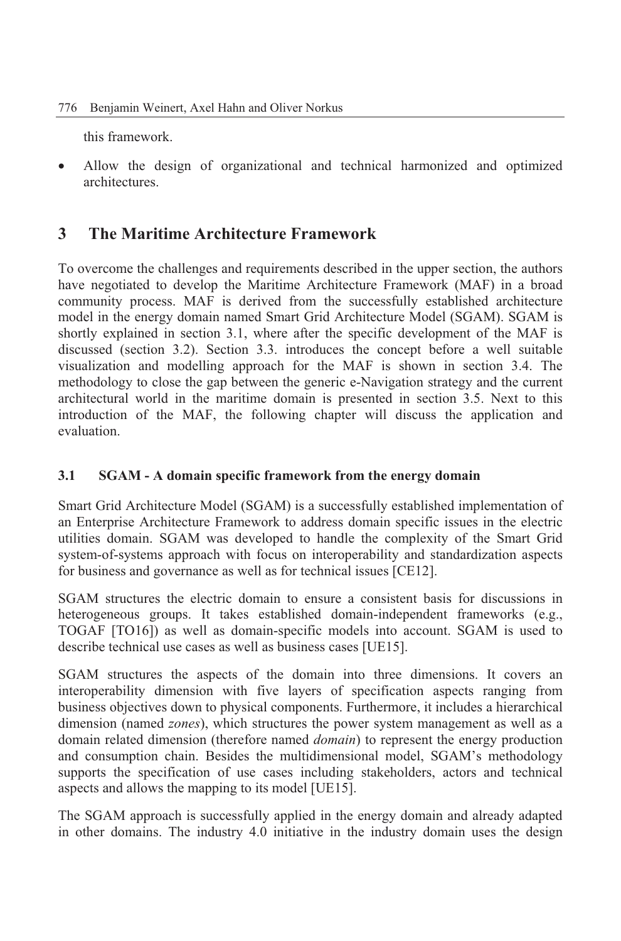this framework.

 Allow the design of organizational and technical harmonized and optimized architectures.

### **3 The Maritime Architecture Framework**

To overcome the challenges and requirements described in the upper section, the authors have negotiated to develop the Maritime Architecture Framework (MAF) in a broad community process. MAF is derived from the successfully established architecture model in the energy domain named Smart Grid Architecture Model (SGAM). SGAM is shortly explained in section 3.1, where after the specific development of the MAF is discussed (section 3.2). Section 3.3. introduces the concept before a well suitable visualization and modelling approach for the MAF is shown in section 3.4. The methodology to close the gap between the generic e-Navigation strategy and the current architectural world in the maritime domain is presented in section 3.5. Next to this introduction of the MAF, the following chapter will discuss the application and evaluation.

#### **3.1 SGAM - A domain specific framework from the energy domain**

Smart Grid Architecture Model (SGAM) is a successfully established implementation of an Enterprise Architecture Framework to address domain specific issues in the electric utilities domain. SGAM was developed to handle the complexity of the Smart Grid system-of-systems approach with focus on interoperability and standardization aspects for business and governance as well as for technical issues [CE12].

SGAM structures the electric domain to ensure a consistent basis for discussions in heterogeneous groups. It takes established domain-independent frameworks (e.g., TOGAF [TO16]) as well as domain-specific models into account. SGAM is used to describe technical use cases as well as business cases [UE15].

SGAM structures the aspects of the domain into three dimensions. It covers an interoperability dimension with five layers of specification aspects ranging from business objectives down to physical components. Furthermore, it includes a hierarchical dimension (named *zones*), which structures the power system management as well as a domain related dimension (therefore named *domain*) to represent the energy production and consumption chain. Besides the multidimensional model, SGAM's methodology supports the specification of use cases including stakeholders, actors and technical aspects and allows the mapping to its model [UE15].

The SGAM approach is successfully applied in the energy domain and already adapted in other domains. The industry 4.0 initiative in the industry domain uses the design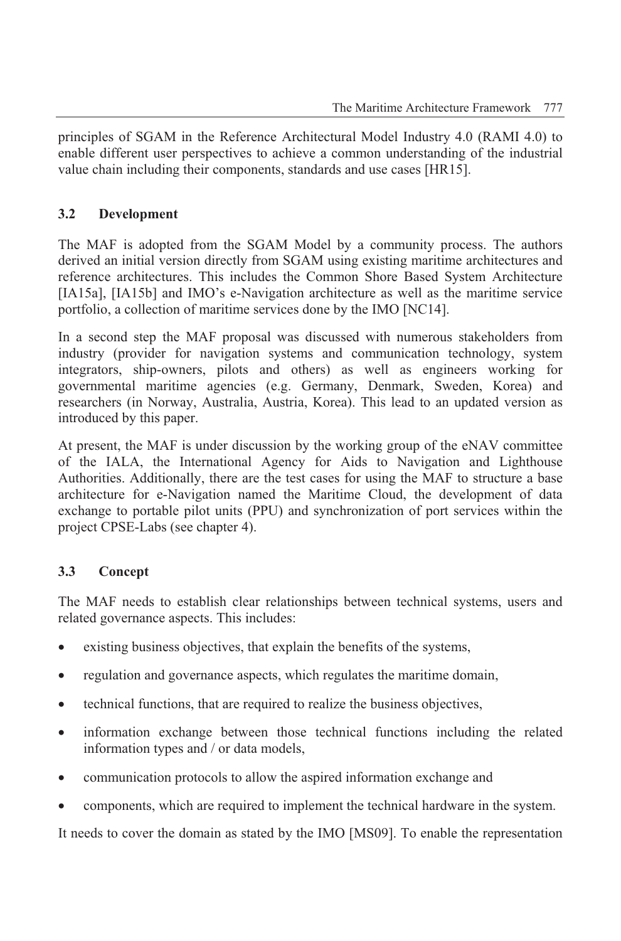principles of SGAM in the Reference Architectural Model Industry 4.0 (RAMI 4.0) to enable different user perspectives to achieve a common understanding of the industrial value chain including their components, standards and use cases [HR15].

#### **3.2 Development**

The MAF is adopted from the SGAM Model by a community process. The authors derived an initial version directly from SGAM using existing maritime architectures and reference architectures. This includes the Common Shore Based System Architecture [IA15a], [IA15b] and IMO's e-Navigation architecture as well as the maritime service portfolio, a collection of maritime services done by the IMO [NC14].

In a second step the MAF proposal was discussed with numerous stakeholders from industry (provider for navigation systems and communication technology, system integrators, ship-owners, pilots and others) as well as engineers working for governmental maritime agencies (e.g. Germany, Denmark, Sweden, Korea) and researchers (in Norway, Australia, Austria, Korea). This lead to an updated version as introduced by this paper.

At present, the MAF is under discussion by the working group of the eNAV committee of the IALA, the International Agency for Aids to Navigation and Lighthouse Authorities. Additionally, there are the test cases for using the MAF to structure a base architecture for e-Navigation named the Maritime Cloud, the development of data exchange to portable pilot units (PPU) and synchronization of port services within the project CPSE-Labs (see chapter 4).

#### **3.3 Concept**

The MAF needs to establish clear relationships between technical systems, users and related governance aspects. This includes:

- existing business objectives, that explain the benefits of the systems,
- regulation and governance aspects, which regulates the maritime domain,
- technical functions, that are required to realize the business objectives,
- information exchange between those technical functions including the related information types and / or data models,
- communication protocols to allow the aspired information exchange and
- components, which are required to implement the technical hardware in the system.

It needs to cover the domain as stated by the IMO [MS09]. To enable the representation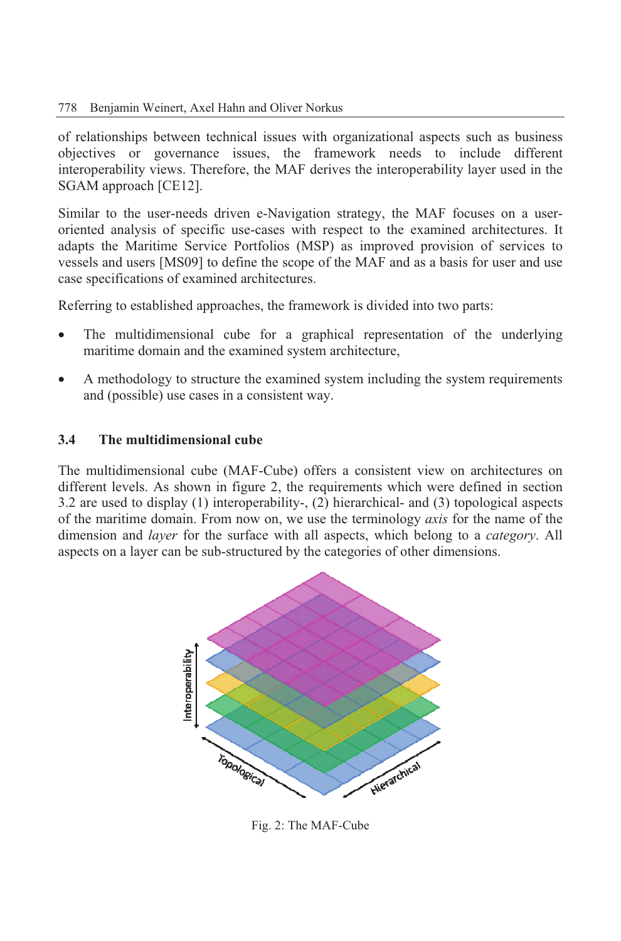#### 778 Benjamin Weinert, Axel Hahn and Oliver Norkus

of relationships between technical issues with organizational aspects such as business objectives or governance issues, the framework needs to include different interoperability views. Therefore, the MAF derives the interoperability layer used in the SGAM approach [CE12].

Similar to the user-needs driven e-Navigation strategy, the MAF focuses on a useroriented analysis of specific use-cases with respect to the examined architectures. It adapts the Maritime Service Portfolios (MSP) as improved provision of services to vessels and users [MS09] to define the scope of the MAF and as a basis for user and use case specifications of examined architectures.

Referring to established approaches, the framework is divided into two parts:

- The multidimensional cube for a graphical representation of the underlying maritime domain and the examined system architecture,
- A methodology to structure the examined system including the system requirements and (possible) use cases in a consistent way.

#### **3.4 The multidimensional cube**

The multidimensional cube (MAF-Cube) offers a consistent view on architectures on different levels. As shown in figure 2, the requirements which were defined in section 3.2 are used to display (1) interoperability-, (2) hierarchical- and (3) topological aspects of the maritime domain. From now on, we use the terminology *axis* for the name of the dimension and *layer* for the surface with all aspects, which belong to a *category*. All aspects on a layer can be sub-structured by the categories of other dimensions.



Fig. 2: The MAF-Cube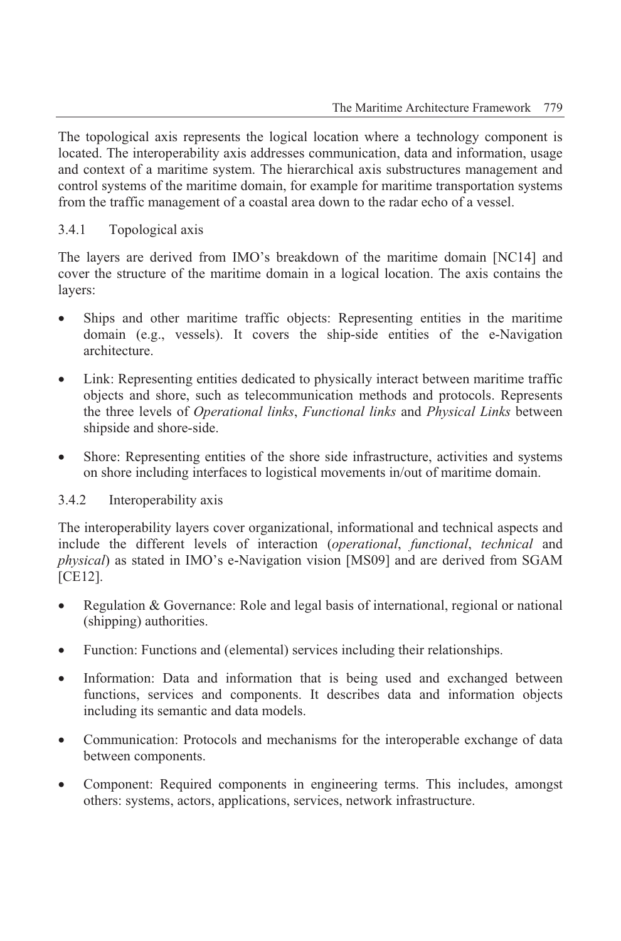The topological axis represents the logical location where a technology component is located. The interoperability axis addresses communication, data and information, usage and context of a maritime system. The hierarchical axis substructures management and control systems of the maritime domain, for example for maritime transportation systems from the traffic management of a coastal area down to the radar echo of a vessel.

#### 3.4.1 Topological axis

The layers are derived from IMO's breakdown of the maritime domain [NC14] and cover the structure of the maritime domain in a logical location. The axis contains the layers:

- Ships and other maritime traffic objects: Representing entities in the maritime domain (e.g., vessels). It covers the ship-side entities of the e-Navigation architecture.
- Link: Representing entities dedicated to physically interact between maritime traffic objects and shore, such as telecommunication methods and protocols. Represents the three levels of *Operational links*, *Functional links* and *Physical Links* between shipside and shore-side.
- Shore: Representing entities of the shore side infrastructure, activities and systems on shore including interfaces to logistical movements in/out of maritime domain.

#### 3.4.2 Interoperability axis

The interoperability layers cover organizational, informational and technical aspects and include the different levels of interaction (*operational*, *functional*, *technical* and *physical*) as stated in IMO's e-Navigation vision [MS09] and are derived from SGAM [CE12].

- Regulation & Governance: Role and legal basis of international, regional or national (shipping) authorities.
- Function: Functions and (elemental) services including their relationships.
- Information: Data and information that is being used and exchanged between functions, services and components. It describes data and information objects including its semantic and data models.
- Communication: Protocols and mechanisms for the interoperable exchange of data between components.
- Component: Required components in engineering terms. This includes, amongst others: systems, actors, applications, services, network infrastructure.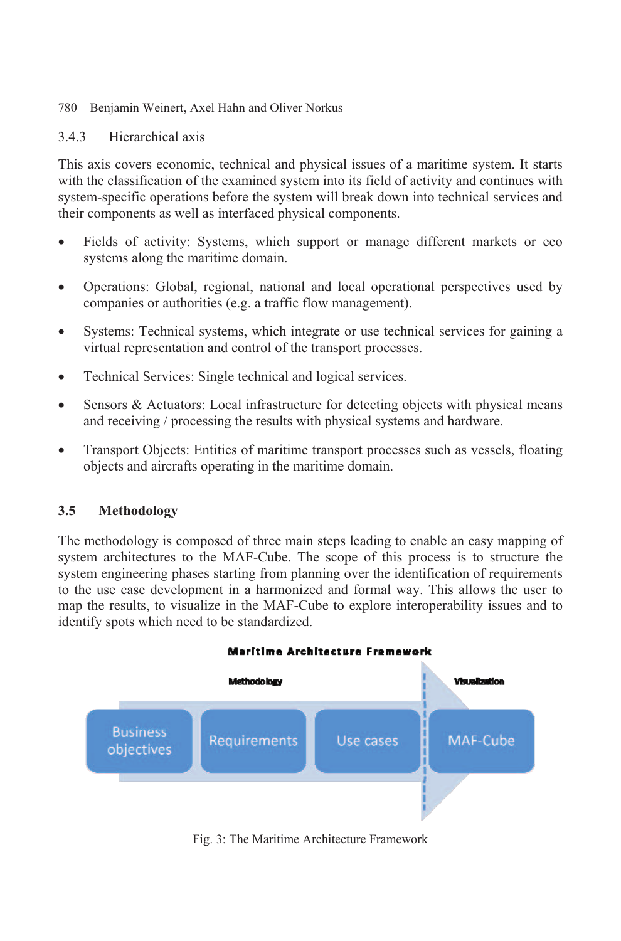#### 780 Benjamin Weinert, Axel Hahn and Oliver Norkus

#### 3.4.3 Hierarchical axis

This axis covers economic, technical and physical issues of a maritime system. It starts with the classification of the examined system into its field of activity and continues with system-specific operations before the system will break down into technical services and their components as well as interfaced physical components.

- Fields of activity: Systems, which support or manage different markets or eco systems along the maritime domain.
- Operations: Global, regional, national and local operational perspectives used by companies or authorities (e.g. a traffic flow management).
- Systems: Technical systems, which integrate or use technical services for gaining a virtual representation and control of the transport processes.
- Technical Services: Single technical and logical services.
- Sensors & Actuators: Local infrastructure for detecting objects with physical means and receiving / processing the results with physical systems and hardware.
- Transport Objects: Entities of maritime transport processes such as vessels, floating objects and aircrafts operating in the maritime domain.

#### **3.5 Methodology**

The methodology is composed of three main steps leading to enable an easy mapping of system architectures to the MAF-Cube. The scope of this process is to structure the system engineering phases starting from planning over the identification of requirements to the use case development in a harmonized and formal way. This allows the user to map the results, to visualize in the MAF-Cube to explore interoperability issues and to identify spots which need to be standardized.



Fig. 3: The Maritime Architecture Framework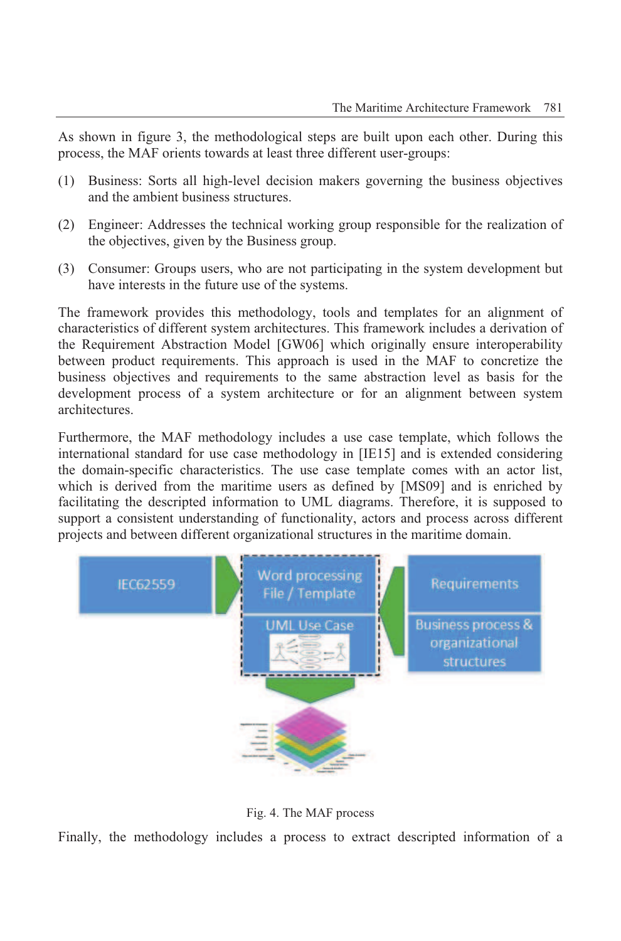As shown in figure 3, the methodological steps are built upon each other. During this process, the MAF orients towards at least three different user-groups:

- (1) Business: Sorts all high-level decision makers governing the business objectives and the ambient business structures.
- (2) Engineer: Addresses the technical working group responsible for the realization of the objectives, given by the Business group.
- (3) Consumer: Groups users, who are not participating in the system development but have interests in the future use of the systems.

The framework provides this methodology, tools and templates for an alignment of characteristics of different system architectures. This framework includes a derivation of the Requirement Abstraction Model [GW06] which originally ensure interoperability between product requirements. This approach is used in the MAF to concretize the business objectives and requirements to the same abstraction level as basis for the development process of a system architecture or for an alignment between system architectures.

Furthermore, the MAF methodology includes a use case template, which follows the international standard for use case methodology in [IE15] and is extended considering the domain-specific characteristics. The use case template comes with an actor list, which is derived from the maritime users as defined by [MS09] and is enriched by facilitating the descripted information to UML diagrams. Therefore, it is supposed to support a consistent understanding of functionality, actors and process across different projects and between different organizational structures in the maritime domain.



Fig. 4. The MAF process

Finally, the methodology includes a process to extract descripted information of a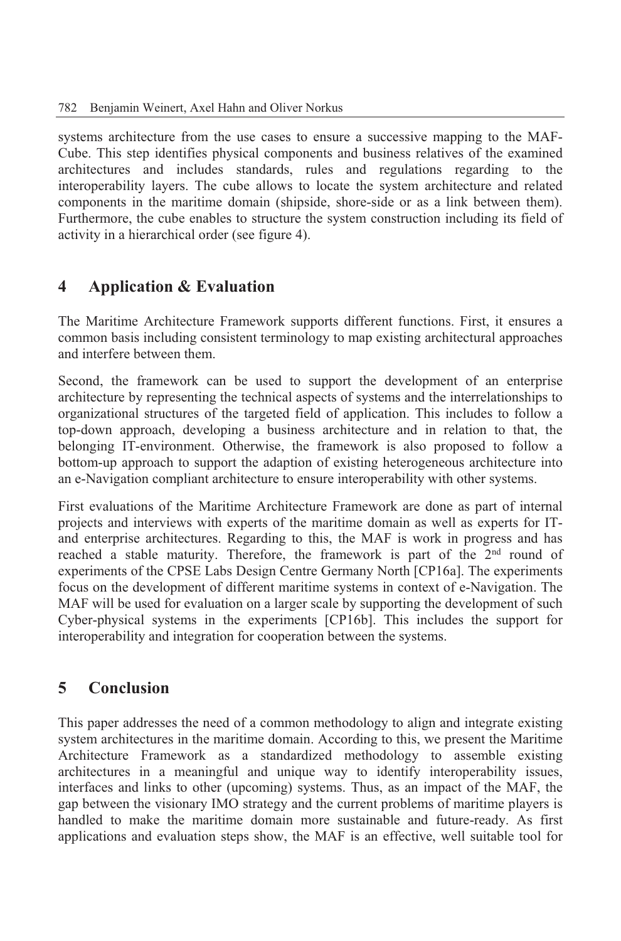systems architecture from the use cases to ensure a successive mapping to the MAF-Cube. This step identifies physical components and business relatives of the examined architectures and includes standards, rules and regulations regarding to the interoperability layers. The cube allows to locate the system architecture and related components in the maritime domain (shipside, shore-side or as a link between them). Furthermore, the cube enables to structure the system construction including its field of activity in a hierarchical order (see figure 4).

## **4 Application & Evaluation**

The Maritime Architecture Framework supports different functions. First, it ensures a common basis including consistent terminology to map existing architectural approaches and interfere between them.

Second, the framework can be used to support the development of an enterprise architecture by representing the technical aspects of systems and the interrelationships to organizational structures of the targeted field of application. This includes to follow a top-down approach, developing a business architecture and in relation to that, the belonging IT-environment. Otherwise, the framework is also proposed to follow a bottom-up approach to support the adaption of existing heterogeneous architecture into an e-Navigation compliant architecture to ensure interoperability with other systems.

First evaluations of the Maritime Architecture Framework are done as part of internal projects and interviews with experts of the maritime domain as well as experts for ITand enterprise architectures. Regarding to this, the MAF is work in progress and has reached a stable maturity. Therefore, the framework is part of the 2<sup>nd</sup> round of experiments of the CPSE Labs Design Centre Germany North [CP16a]. The experiments focus on the development of different maritime systems in context of e-Navigation. The MAF will be used for evaluation on a larger scale by supporting the development of such Cyber-physical systems in the experiments [CP16b]. This includes the support for interoperability and integration for cooperation between the systems.

## **5 Conclusion**

This paper addresses the need of a common methodology to align and integrate existing system architectures in the maritime domain. According to this, we present the Maritime Architecture Framework as a standardized methodology to assemble existing architectures in a meaningful and unique way to identify interoperability issues, interfaces and links to other (upcoming) systems. Thus, as an impact of the MAF, the gap between the visionary IMO strategy and the current problems of maritime players is handled to make the maritime domain more sustainable and future-ready. As first applications and evaluation steps show, the MAF is an effective, well suitable tool for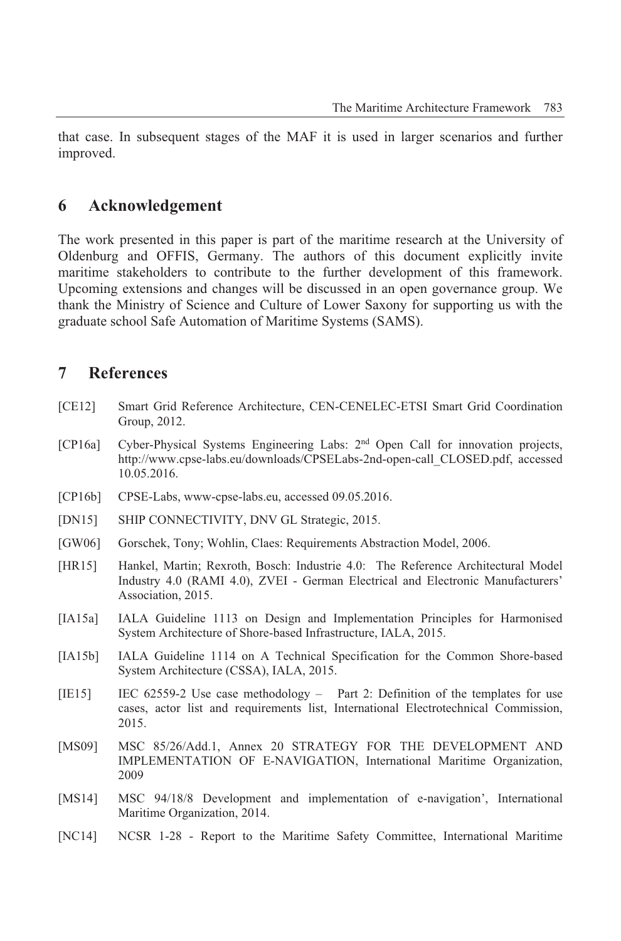that case. In subsequent stages of the MAF it is used in larger scenarios and further improved.

#### **6 Acknowledgement**

The work presented in this paper is part of the maritime research at the University of Oldenburg and OFFIS, Germany. The authors of this document explicitly invite maritime stakeholders to contribute to the further development of this framework. Upcoming extensions and changes will be discussed in an open governance group. We thank the Ministry of Science and Culture of Lower Saxony for supporting us with the graduate school Safe Automation of Maritime Systems (SAMS).

#### **7 References**

- [CE12] Smart Grid Reference Architecture, CEN-CENELEC-ETSI Smart Grid Coordination Group, 2012.
- [CP16a] Cyber-Physical Systems Engineering Labs: 2nd Open Call for innovation projects, http://www.cpse-labs.eu/downloads/CPSELabs-2nd-open-call\_CLOSED.pdf, accessed 10.05.2016.
- [CP16b] CPSE-Labs, www-cpse-labs.eu, accessed 09.05.2016.
- [DN15] SHIP CONNECTIVITY, DNV GL Strategic, 2015.
- [GW06] Gorschek, Tony; Wohlin, Claes: Requirements Abstraction Model, 2006.
- [HR15] Hankel, Martin; Rexroth, Bosch: Industrie 4.0: The Reference Architectural Model Industry 4.0 (RAMI 4.0), ZVEI - German Electrical and Electronic Manufacturers' Association, 2015.
- [IA15a] IALA Guideline 1113 on Design and Implementation Principles for Harmonised System Architecture of Shore-based Infrastructure, IALA, 2015.
- [IA15b] IALA Guideline 1114 on A Technical Specification for the Common Shore-based System Architecture (CSSA), IALA, 2015.
- [IE15] IEC 62559-2 Use case methodology Part 2: Definition of the templates for use cases, actor list and requirements list, International Electrotechnical Commission, 2015.
- [MS09] MSC 85/26/Add.1, Annex 20 STRATEGY FOR THE DEVELOPMENT AND IMPLEMENTATION OF E-NAVIGATION, International Maritime Organization, 2009
- [MS14] MSC 94/18/8 Development and implementation of e-navigation', International Maritime Organization, 2014.
- [NC14] NCSR 1-28 Report to the Maritime Safety Committee, International Maritime